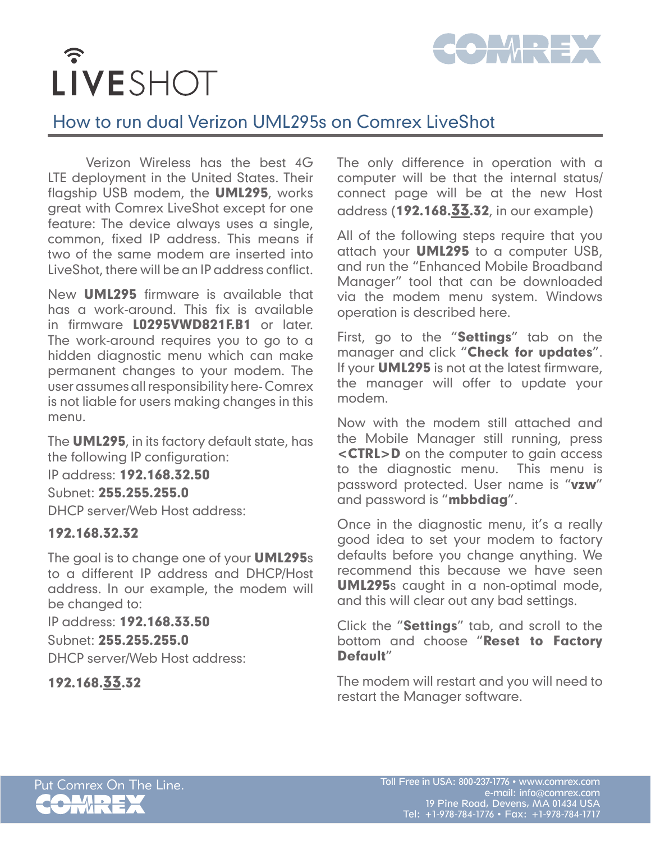

## $\widehat{\cdot}$ LIVESHOT

## How to run dual Verizon UML295s on Comrex LiveShot

Verizon Wireless has the best 4G LTE deployment in the United States. Their flagship USB modem, the **UML295**, works great with Comrex LiveShot except for one feature: The device always uses a single, common, fixed IP address. This means if two of the same modem are inserted into LiveShot, there will be an IP address conflict.

New UML295 firmware is available that has a work-around. This fix is available in firmware L0295VWD821F.B1 or later. The work-around requires you to go to a hidden diagnostic menu which can make permanent changes to your modem. The user assumes all responsibility here- Comrex is not liable for users making changes in this menu.

The **UML295**, in its factory default state, has the following IP configuration:

IP address: 192.168.32.50

Subnet: 255.255.255.0

DHCP server/Web Host address:

## 192.168.32.32

The goal is to change one of your **UML295**s to a different IP address and DHCP/Host address. In our example, the modem will be changed to:

IP address: 192.168.33.50 Subnet: 255.255.255.0 DHCP server/Web Host address:

192.168.33.32

The only difference in operation with a computer will be that the internal status/ connect page will be at the new Host address (192.168.33.32, in our example)

All of the following steps require that you attach your **UML295** to a computer USB, and run the "Enhanced Mobile Broadband Manager" tool that can be downloaded via the modem menu system. Windows operation is described here.

First, go to the "Settings" tab on the manager and click "Check for updates". If your **UML295** is not at the latest firmware, the manager will offer to update your modem.

Now with the modem still attached and the Mobile Manager still running, press <CTRL>D on the computer to gain access to the diagnostic menu. This menu is password protected. User name is "vzw" and password is "**mbbdiag**".

Once in the diagnostic menu, it's a really good idea to set your modem to factory defaults before you change anything. We recommend this because we have seen UML295s caught in a non-optimal mode, and this will clear out any bad settings.

Click the "Settings" tab, and scroll to the bottom and choose "Reset to Factory Default"

The modem will restart and you will need to restart the Manager software.